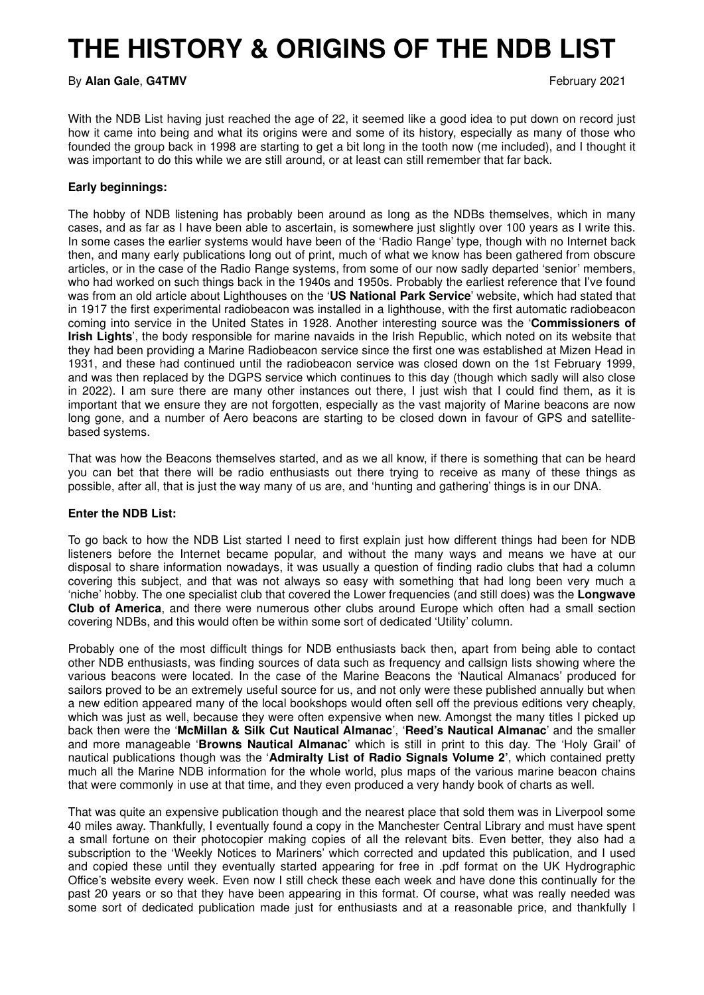## **THE HISTORY & ORIGINS OF THE NDB LIST**

By **Alan Gale**, G4TMV **February 2021** 

With the NDB List having just reached the age of 22, it seemed like a good idea to put down on record just how it came into being and what its origins were and some of its history, especially as many of those who founded the group back in 1998 are starting to get a bit long in the tooth now (me included), and I thought it was important to do this while we are still around, or at least can still remember that far back.

## **Early beginnings:**

The hobby of NDB listening has probably been around as long as the NDBs themselves, which in many cases, and as far as I have been able to ascertain, is somewhere just slightly over 100 years as I write this. In some cases the earlier systems would have been of the 'Radio Range' type, though with no Internet back then, and many early publications long out of print, much of what we know has been gathered from obscure articles, or in the case of the Radio Range systems, from some of our now sadly departed 'senior' members, who had worked on such things back in the 1940s and 1950s. Probably the earliest reference that I've found was from an old article about Lighthouses on the '**US National Park Service**' website, which had stated that in 1917 the first experimental radiobeacon was installed in a lighthouse, with the first automatic radiobeacon coming into service in the United States in 1928. Another interesting source was the '**Commissioners of Irish Lights**', the body responsible for marine navaids in the Irish Republic, which noted on its website that they had been providing a Marine Radiobeacon service since the first one was established at Mizen Head in 1931, and these had continued until the radiobeacon service was closed down on the 1st February 1999, and was then replaced by the DGPS service which continues to this day (though which sadly will also close in 2022). I am sure there are many other instances out there, I just wish that I could find them, as it is important that we ensure they are not forgotten, especially as the vast majority of Marine beacons are now long gone, and a number of Aero beacons are starting to be closed down in favour of GPS and satellitebased systems.

That was how the Beacons themselves started, and as we all know, if there is something that can be heard you can bet that there will be radio enthusiasts out there trying to receive as many of these things as possible, after all, that is just the way many of us are, and 'hunting and gathering' things is in our DNA.

## **Enter the NDB List:**

To go back to how the NDB List started I need to first explain just how different things had been for NDB listeners before the Internet became popular, and without the many ways and means we have at our disposal to share information nowadays, it was usually a question of finding radio clubs that had a column covering this subject, and that was not always so easy with something that had long been very much a 'niche' hobby. The one specialist club that covered the Lower frequencies (and still does) was the **Longwave Club of America**, and there were numerous other clubs around Europe which often had a small section covering NDBs, and this would often be within some sort of dedicated 'Utility' column.

Probably one of the most difficult things for NDB enthusiasts back then, apart from being able to contact other NDB enthusiasts, was finding sources of data such as frequency and callsign lists showing where the various beacons were located. In the case of the Marine Beacons the 'Nautical Almanacs' produced for sailors proved to be an extremely useful source for us, and not only were these published annually but when a new edition appeared many of the local bookshops would often sell off the previous editions very cheaply, which was just as well, because they were often expensive when new. Amongst the many titles I picked up back then were the '**McMillan & Silk Cut Nautical Almanac**', '**Reed's Nautical Almanac**' and the smaller and more manageable '**Browns Nautical Almanac**' which is still in print to this day. The 'Holy Grail' of nautical publications though was the '**Admiralty List of Radio Signals Volume 2'**, which contained pretty much all the Marine NDB information for the whole world, plus maps of the various marine beacon chains that were commonly in use at that time, and they even produced a very handy book of charts as well.

That was quite an expensive publication though and the nearest place that sold them was in Liverpool some 40 miles away. Thankfully, I eventually found a copy in the Manchester Central Library and must have spent a small fortune on their photocopier making copies of all the relevant bits. Even better, they also had a subscription to the 'Weekly Notices to Mariners' which corrected and updated this publication, and I used and copied these until they eventually started appearing for free in .pdf format on the UK Hydrographic Office's website every week. Even now I still check these each week and have done this continually for the past 20 years or so that they have been appearing in this format. Of course, what was really needed was some sort of dedicated publication made just for enthusiasts and at a reasonable price, and thankfully I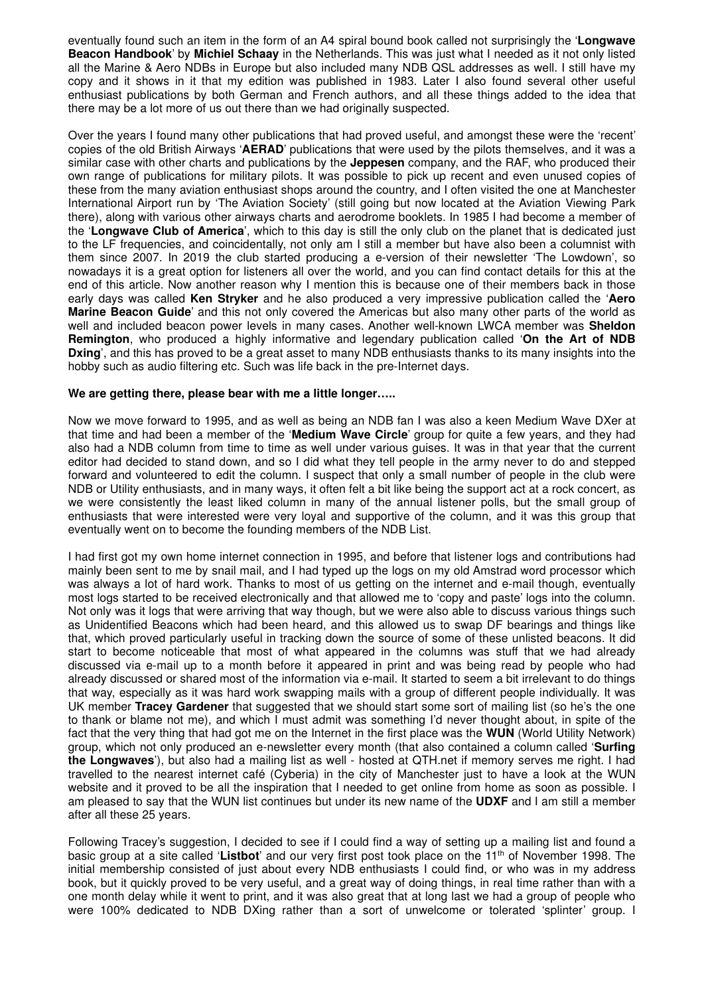eventually found such an item in the form of an A4 spiral bound book called not surprisingly the '**Longwave Beacon Handbook**' by **Michiel Schaay** in the Netherlands. This was just what I needed as it not only listed all the Marine & Aero NDBs in Europe but also included many NDB QSL addresses as well. I still have my copy and it shows in it that my edition was published in 1983. Later I also found several other useful enthusiast publications by both German and French authors, and all these things added to the idea that there may be a lot more of us out there than we had originally suspected.

Over the years I found many other publications that had proved useful, and amongst these were the 'recent' copies of the old British Airways '**AERAD**' publications that were used by the pilots themselves, and it was a similar case with other charts and publications by the **Jeppesen** company, and the RAF, who produced their own range of publications for military pilots. It was possible to pick up recent and even unused copies of these from the many aviation enthusiast shops around the country, and I often visited the one at Manchester International Airport run by 'The Aviation Society' (still going but now located at the Aviation Viewing Park there), along with various other airways charts and aerodrome booklets. In 1985 I had become a member of the '**Longwave Club of America**', which to this day is still the only club on the planet that is dedicated just to the LF frequencies, and coincidentally, not only am I still a member but have also been a columnist with them since 2007. In 2019 the club started producing a e-version of their newsletter 'The Lowdown', so nowadays it is a great option for listeners all over the world, and you can find contact details for this at the end of this article. Now another reason why I mention this is because one of their members back in those early days was called **Ken Stryker** and he also produced a very impressive publication called the '**Aero Marine Beacon Guide**' and this not only covered the Americas but also many other parts of the world as well and included beacon power levels in many cases. Another well-known LWCA member was **Sheldon Remington**, who produced a highly informative and legendary publication called '**On the Art of NDB Dxing**', and this has proved to be a great asset to many NDB enthusiasts thanks to its many insights into the hobby such as audio filtering etc. Such was life back in the pre-Internet days.

## **We are getting there, please bear with me a little longer…..**

Now we move forward to 1995, and as well as being an NDB fan I was also a keen Medium Wave DXer at that time and had been a member of the '**Medium Wave Circle**' group for quite a few years, and they had also had a NDB column from time to time as well under various guises. It was in that year that the current editor had decided to stand down, and so I did what they tell people in the army never to do and stepped forward and volunteered to edit the column. I suspect that only a small number of people in the club were NDB or Utility enthusiasts, and in many ways, it often felt a bit like being the support act at a rock concert, as we were consistently the least liked column in many of the annual listener polls, but the small group of enthusiasts that were interested were very loyal and supportive of the column, and it was this group that eventually went on to become the founding members of the NDB List.

I had first got my own home internet connection in 1995, and before that listener logs and contributions had mainly been sent to me by snail mail, and I had typed up the logs on my old Amstrad word processor which was always a lot of hard work. Thanks to most of us getting on the internet and e-mail though, eventually most logs started to be received electronically and that allowed me to 'copy and paste' logs into the column. Not only was it logs that were arriving that way though, but we were also able to discuss various things such as Unidentified Beacons which had been heard, and this allowed us to swap DF bearings and things like that, which proved particularly useful in tracking down the source of some of these unlisted beacons. It did start to become noticeable that most of what appeared in the columns was stuff that we had already discussed via e-mail up to a month before it appeared in print and was being read by people who had already discussed or shared most of the information via e-mail. It started to seem a bit irrelevant to do things that way, especially as it was hard work swapping mails with a group of different people individually. It was UK member **Tracey Gardener** that suggested that we should start some sort of mailing list (so he's the one to thank or blame not me), and which I must admit was something I'd never thought about, in spite of the fact that the very thing that had got me on the Internet in the first place was the **WUN** (World Utility Network) group, which not only produced an e-newsletter every month (that also contained a column called '**Surfing the Longwaves**'), but also had a mailing list as well - hosted at QTH.net if memory serves me right. I had travelled to the nearest internet café (Cyberia) in the city of Manchester just to have a look at the WUN website and it proved to be all the inspiration that I needed to get online from home as soon as possible. I am pleased to say that the WUN list continues but under its new name of the **UDXF** and I am still a member after all these 25 years.

Following Tracey's suggestion, I decided to see if I could find a way of setting up a mailing list and found a basic group at a site called '**Listbot**' and our very first post took place on the 11th of November 1998. The initial membership consisted of just about every NDB enthusiasts I could find, or who was in my address book, but it quickly proved to be very useful, and a great way of doing things, in real time rather than with a one month delay while it went to print, and it was also great that at long last we had a group of people who were 100% dedicated to NDB DXing rather than a sort of unwelcome or tolerated 'splinter' group. I